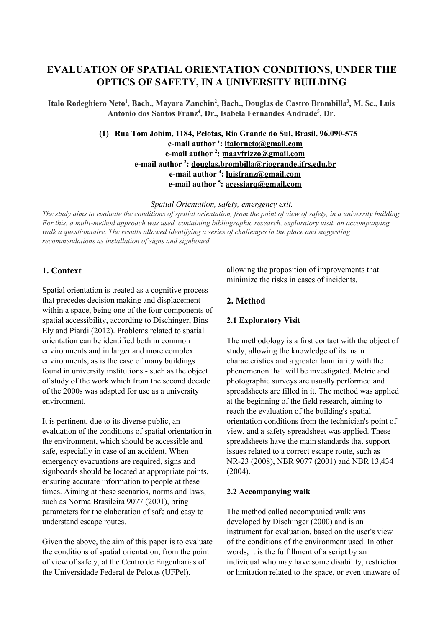# **EVALUATION OF SPATIAL ORIENTATION CONDITIONS, UNDER THE OPTICS OF SAFETY, IN A UNIVERSITY BUILDING**

Italo Rodeghiero Neto<sup>1</sup>, Bach., Mayara Zanchin<sup>2</sup>, Bach., Douglas de Castro Brombilla<sup>3</sup>, M. Sc., Luis **Antonio dos Santos Franz 4 , Dr., Isabela Fernandes Andrade 5 , Dr.**

> **(1) Rua Tom Jobim, 1184, Pelotas, Rio Grande do Sul, Brasil, 96.090-575 e-mail author ': italorneto@gmail.com e-mail author 2 : maayfrizzo@gmail.com e-mail author 3 : douglas.brombilla@riogrande.ifrs.edu.br e-mail author 4 : luisfranz@gmail.com e-mail author 5 : acessiarq@gmail.com**

> > *Spatial Orientation, safety, emergency exit.*

The study aims to evaluate the conditions of spatial orientation, from the point of view of safety, in a university building. *For this, a multi-method approach was used, containing bibliographic research, exploratory visit, an accompanying walk a questionnaire. The results allowed identifying a series of challenges in the place and suggesting recommendations as installation of signs and signboard.*

## **1. Context**

Spatial orientation is treated as a cognitive process that precedes decision making and displacement within a space, being one of the four components of spatial accessibility, according to Dischinger, Bins Ely and Piardi (2012). Problems related to spatial orientation can be identified both in common environments and in larger and more complex environments, as is the case of many buildings found in university institutions - such as the object of study of the work which from the second decade of the 2000s was adapted for use as a university environment.

It is pertinent, due to its diverse public, an evaluation of the conditions of spatial orientation in the environment, which should be accessible and safe, especially in case of an accident. When emergency evacuations are required, signs and signboards should be located at appropriate points, ensuring accurate information to people at these times. Aiming at these scenarios, norms and laws, such as Norma Brasileira 9077 (2001), bring parameters for the elaboration of safe and easy to understand escape routes.

Given the above, the aim of this paper is to evaluate the conditions of spatial orientation, from the point of view of safety, at the Centro de Engenharias of the Universidade Federal de Pelotas (UFPel),

allowing the proposition of improvements that minimize the risks in cases of incidents.

## **2. Method**

#### **2.1 Exploratory Visit**

The methodology is a first contact with the object of study, allowing the knowledge of its main characteristics and a greater familiarity with the phenomenon that will be investigated. Metric and photographic surveys are usually performed and spreadsheets are filled in it. The method was applied at the beginning of the field research, aiming to reach the evaluation of the building's spatial orientation conditions from the technician's point of view, and a safety spreadsheet was applied. These spreadsheets have the main standards that support issues related to a correct escape route, such as NR-23 (2008), NBR 9077 (2001) and NBR 13,434 (2004).

#### **2.2 Accompanying walk**

The method called accompanied walk was developed by Dischinger (2000) and is an instrument for evaluation, based on the user's view of the conditions of the environment used. In other words, it is the fulfillment of a script by an individual who may have some disability, restriction or limitation related to the space, or even unaware of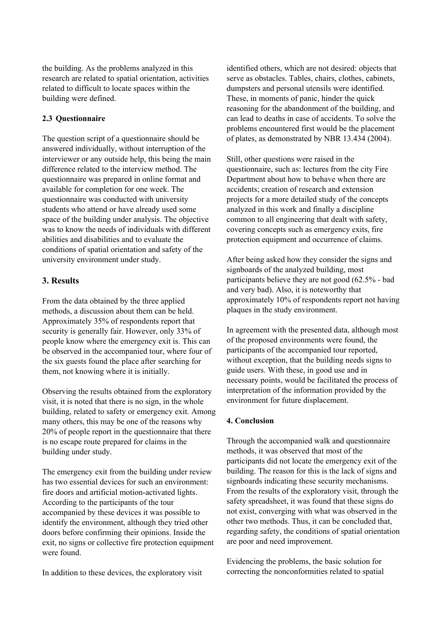the building. As the problems analyzed in this research are related to spatial orientation, activities related to difficult to locate spaces within the building were defined.

### **2.3 Questionnaire**

The question script of a questionnaire should be answered individually, without interruption of the interviewer or any outside help, this being the main difference related to the interview method. The questionnaire was prepared in online format and available for completion for one week. The questionnaire was conducted with university students who attend or have already used some space of the building under analysis. The objective was to know the needs of individuals with different abilities and disabilities and to evaluate the conditions of spatial orientation and safety of the university environment under study.

## **3. Results**

From the data obtained by the three applied methods, a discussion about them can be held. Approximately 35% of respondents report that security is generally fair. However, only 33% of people know where the emergency exit is. This can be observed in the accompanied tour, where four of the six guests found the place after searching for them, not knowing where it is initially.

Observing the results obtained from the exploratory visit, it is noted that there is no sign, in the whole building, related to safety or emergency exit. Among many others, this may be one of the reasons why 20% of people report in the questionnaire that there is no escape route prepared for claims in the building under study.

The emergency exit from the building under review has two essential devices for such an environment: fire doors and artificial motion-activated lights. According to the participants of the tour accompanied by these devices it was possible to identify the environment, although they tried other doors before confirming their opinions. Inside the exit, no signs or collective fire protection equipment were found.

In addition to these devices, the exploratory visit

identified others, which are not desired: objects that serve as obstacles. Tables, chairs, clothes, cabinets, dumpsters and personal utensils were identified. These, in moments of panic, hinder the quick reasoning for the abandonment of the building, and can lead to deaths in case of accidents. To solve the problems encountered first would be the placement of plates, as demonstrated by NBR 13.434 (2004).

Still, other questions were raised in the questionnaire, such as: lectures from the city Fire Department about how to behave when there are accidents; creation of research and extension projects for a more detailed study of the concepts analyzed in this work and finally a discipline common to all engineering that dealt with safety, covering concepts such as emergency exits, fire protection equipment and occurrence of claims.

After being asked how they consider the signs and signboards of the analyzed building, most participants believe they are not good (62.5% - bad and very bad). Also, it is noteworthy that approximately 10% of respondents report not having plaques in the study environment.

In agreement with the presented data, although most of the proposed environments were found, the participants of the accompanied tour reported, without exception, that the building needs signs to guide users. With these, in good use and in necessary points, would be facilitated the process of interpretation of the information provided by the environment for future displacement.

#### **4. Conclusion**

Through the accompanied walk and questionnaire methods, it was observed that most of the participants did not locate the emergency exit of the building. The reason for this is the lack of signs and signboards indicating these security mechanisms. From the results of the exploratory visit, through the safety spreadsheet, it was found that these signs do not exist, converging with what was observed in the other two methods. Thus, it can be concluded that, regarding safety, the conditions of spatial orientation are poor and need improvement.

Evidencing the problems, the basic solution for correcting the nonconformities related to spatial